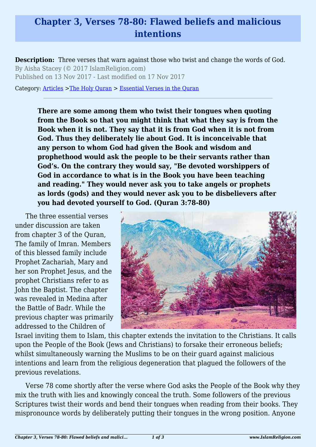## **Chapter 3, Verses 78-80: Flawed beliefs and malicious intentions**

**Description:** Three verses that warn against those who twist and change the words of God. By Aisha Stacey (© 2017 IslamReligion.com) Published on 13 Nov 2017 - Last modified on 17 Nov 2017

Category: [Articles](http://www.islamreligion.com/articles/) >[The Holy Quran](http://www.islamreligion.com/category/75/) > [Essential Verses in the Quran](http://www.islamreligion.com/category/1129/)

**There are some among them who twist their tongues when quoting from the Book so that you might think that what they say is from the Book when it is not. They say that it is from God when it is not from God. Thus they deliberately lie about God. It is inconceivable that any person to whom God had given the Book and wisdom and prophethood would ask the people to be their servants rather than God's. On the contrary they would say, "Be devoted worshippers of God in accordance to what is in the Book you have been teaching and reading." They would never ask you to take angels or prophets as lords (gods) and they would never ask you to be disbelievers after you had devoted yourself to God. (Quran 3:78-80)**

The three essential verses under discussion are taken from chapter 3 of the Quran, The family of Imran. Members of this blessed family include Prophet Zachariah, Mary and her son Prophet Jesus, and the prophet Christians refer to as John the Baptist. The chapter was revealed in Medina after the Battle of Badr. While the previous chapter was primarily addressed to the Children of



Israel inviting them to Islam, this chapter extends the invitation to the Christians. It calls upon the People of the Book (Jews and Christians) to forsake their erroneous beliefs; whilst simultaneously warning the Muslims to be on their guard against malicious intentions and learn from the religious degeneration that plagued the followers of the previous revelations.

Verse 78 come shortly after the verse where God asks the People of the Book why they mix the truth with lies and knowingly conceal the truth. Some followers of the previous Scriptures twist their words and bend their tongues when reading from their books. They mispronounce words by deliberately putting their tongues in the wrong position. Anyone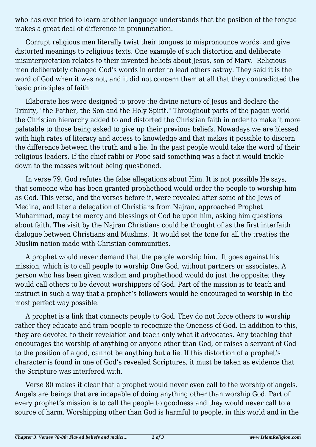who has ever tried to learn another language understands that the position of the tongue makes a great deal of difference in pronunciation.

Corrupt religious men literally twist their tongues to mispronounce words, and give distorted meanings to religious texts. One example of such distortion and deliberate misinterpretation relates to their invented beliefs about Jesus, son of Mary. Religious men deliberately changed God's words in order to lead others astray. They said it is the word of God when it was not, and it did not concern them at all that they contradicted the basic principles of faith.

Elaborate lies were designed to prove the divine nature of Jesus and declare the Trinity, "the Father, the Son and the Holy Spirit." Throughout parts of the pagan world the Christian hierarchy added to and distorted the Christian faith in order to make it more palatable to those being asked to give up their previous beliefs. Nowadays we are blessed with high rates of literacy and access to knowledge and that makes it possible to discern the difference between the truth and a lie. In the past people would take the word of their religious leaders. If the chief rabbi or Pope said something was a fact it would trickle down to the masses without being questioned.

In verse 79, God refutes the false allegations about Him. It is not possible He says, that someone who has been granted prophethood would order the people to worship him as God. This verse, and the verses before it, were revealed after some of the Jews of Medina, and later a delegation of Christians from Najran, approached Prophet Muhammad, may the mercy and blessings of God be upon him, asking him questions about faith. The visit by the Najran Christians could be thought of as the first interfaith dialogue between Christians and Muslims. It would set the tone for all the treaties the Muslim nation made with Christian communities.

A prophet would never demand that the people worship him. It goes against his mission, which is to call people to worship One God, without partners or associates. A person who has been given wisdom and prophethood would do just the opposite; they would call others to be devout worshippers of God. Part of the mission is to teach and instruct in such a way that a prophet's followers would be encouraged to worship in the most perfect way possible.

A prophet is a link that connects people to God. They do not force others to worship rather they educate and train people to recognize the Oneness of God. In addition to this, they are devoted to their revelation and teach only what it advocates. Any teaching that encourages the worship of anything or anyone other than God, or raises a servant of God to the position of a god, cannot be anything but a lie. If this distortion of a prophet's character is found in one of God's revealed Scriptures, it must be taken as evidence that the Scripture was interfered with.

Verse 80 makes it clear that a prophet would never even call to the worship of angels. Angels are beings that are incapable of doing anything other than worship God. Part of every prophet's mission is to call the people to goodness and they would never call to a source of harm. Worshipping other than God is harmful to people, in this world and in the